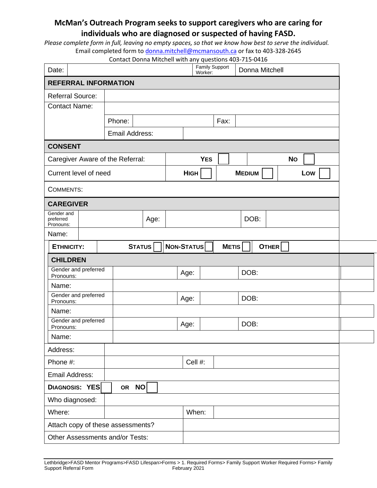## **McMan's Outreach Program seeks to support caregivers who are caring for individuals who are diagnosed or suspected of having FASD.**

*Please complete form in full, leaving no empty spaces, so that we know how best to serve the individual.*  Email completed form to [donna.mitchell@mcmansouth.ca](mailto:donna.mitchell@mcmansouth.ca) or fax to 403-328-2645

| Date:                                |                |               | Worker:     | Family Support | Donna Mitchell |           |  |
|--------------------------------------|----------------|---------------|-------------|----------------|----------------|-----------|--|
| <b>REFERRAL INFORMATION</b>          |                |               |             |                |                |           |  |
| <b>Referral Source:</b>              |                |               |             |                |                |           |  |
| <b>Contact Name:</b>                 |                |               |             |                |                |           |  |
|                                      | Phone:         |               |             | Fax:           |                |           |  |
|                                      | Email Address: |               |             |                |                |           |  |
| <b>CONSENT</b>                       |                |               |             |                |                |           |  |
| Caregiver Aware of the Referral:     |                |               | <b>YES</b>  |                |                | <b>No</b> |  |
| Current level of need                |                |               | <b>HIGH</b> |                | <b>MEDIUM</b>  | Low       |  |
| <b>COMMENTS:</b>                     |                |               |             |                |                |           |  |
| <b>CAREGIVER</b>                     |                |               |             |                |                |           |  |
| Gender and<br>preferred<br>Pronouns: |                | Age:          |             |                | DOB:           |           |  |
| Name:                                |                |               |             |                |                |           |  |
| <b>ETHNICITY:</b>                    |                | <b>STATUS</b> | NON-STATUS  | <b>METIS</b>   | OTHER          |           |  |
| <b>CHILDREN</b>                      |                |               |             |                |                |           |  |
| Gender and preferred<br>Pronouns:    |                |               | Age:        |                | DOB:           |           |  |
| Name:                                |                |               |             |                |                |           |  |
| Gender and preferred<br>Pronouns:    |                |               | Age:        |                | DOB:           |           |  |
| Name:                                |                |               |             |                |                |           |  |
| Gender and preferred                 |                |               |             |                |                |           |  |
| Pronouns:                            |                |               | Age:        |                | DOB:           |           |  |
| Name:                                |                |               |             |                |                |           |  |
| Address:                             |                |               |             |                |                |           |  |
| Phone #:                             |                |               | Cell #:     |                |                |           |  |
| Email Address:                       |                |               |             |                |                |           |  |
| DIAGNOSIS: YES                       | OR NO          |               |             |                |                |           |  |
| Who diagnosed:                       |                |               |             |                |                |           |  |
| Where:                               |                |               | When:       |                |                |           |  |
| Attach copy of these assessments?    |                |               |             |                |                |           |  |